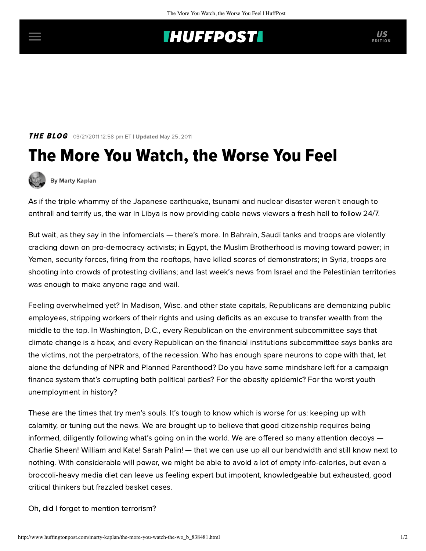## **INUFFPOSTI** US

## **THE BLOG** 03/21/2011 12:58 pm ET | Updated May 25, 2011

## The More You Watch, the Worse You Feel



[By Marty Kaplan](http://www.huffingtonpost.com/author/marty-kaplan)

As if the triple whammy of the Japanese earthquake, tsunami and nuclear disaster weren't enough to enthrall and terrify us, the war in Libya is now providing cable news viewers a fresh hell to follow 24/7.

But wait, as they say in the infomercials — there's more. In Bahrain, Saudi tanks and troops are violently cracking down on pro-democracy activists; in Egypt, the Muslim Brotherhood is moving toward power; in Yemen, security forces, firing from the rooftops, have killed scores of demonstrators; in Syria, troops are shooting into crowds of protesting civilians; and last week's news from Israel and the Palestinian territories was enough to make anyone rage and wail.

Feeling overwhelmed yet? In Madison, Wisc. and other state capitals, Republicans are demonizing public employees, stripping workers of their rights and using deficits as an excuse to transfer wealth from the middle to the top. In Washington, D.C., every Republican on the environment subcommittee says that climate change is a hoax, and every Republican on the financial institutions subcommittee says banks are the victims, not the perpetrators, of the recession. Who has enough spare neurons to cope with that, let alone the defunding of NPR and Planned Parenthood? Do you have some mindshare left for a campaign finance system that's corrupting both political parties? For the obesity epidemic? For the worst youth unemployment in history?

These are the times that try men's souls. It's tough to know which is worse for us: keeping up with calamity, or tuning out the news. We are brought up to believe that good citizenship requires being informed, diligently following what's going on in the world. We are offered so many attention decoys — Charlie Sheen! William and Kate! Sarah Palin! — that we can use up all our bandwidth and still know next to nothing. With considerable will power, we might be able to avoid a lot of empty info-calories, but even a broccoli-heavy media diet can leave us feeling expert but impotent, knowledgeable but exhausted, good critical thinkers but frazzled basket cases.

Oh, did I forget to mention terrorism?